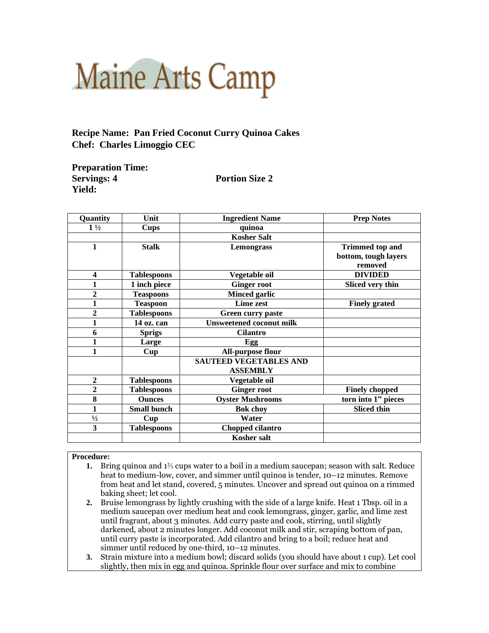## **Maine Arts Camp**

**Recipe Name: Pan Fried Coconut Curry Quinoa Cakes Chef: Charles Limoggio CEC**

| <b>Preparation Time:</b> |
|--------------------------|
| <b>Servings: 4</b>       |
| <b>Yield:</b>            |

## **Portion Size 2**

| Quantity       | Unit               | <b>Ingredient Name</b>        | <b>Prep Notes</b>      |
|----------------|--------------------|-------------------------------|------------------------|
| $1\frac{1}{2}$ | <b>Cups</b>        | quinoa                        |                        |
|                |                    | <b>Kosher Salt</b>            |                        |
| 1              | <b>Stalk</b>       | Lemongrass                    | <b>Trimmed top and</b> |
|                |                    |                               | bottom, tough layers   |
|                |                    |                               | removed                |
| 4              | <b>Tablespoons</b> | Vegetable oil                 | <b>DIVIDED</b>         |
| 1              | 1 inch piece       | <b>Ginger root</b>            | Sliced very thin       |
| $\mathbf{2}$   | <b>Teaspoons</b>   | <b>Minced garlic</b>          |                        |
| $\mathbf{1}$   | <b>Teaspoon</b>    | Lime zest                     | <b>Finely grated</b>   |
| $\overline{2}$ | <b>Tablespoons</b> | Green curry paste             |                        |
| $\mathbf{1}$   | 14 oz. can         | Unsweetened coconut milk      |                        |
| 6              | <b>Sprigs</b>      | <b>Cilantro</b>               |                        |
| 1              | Large              | Egg                           |                        |
| 1              | Cup                | All-purpose flour             |                        |
|                |                    | <b>SAUTEED VEGETABLES AND</b> |                        |
|                |                    | <b>ASSEMBLY</b>               |                        |
| $\overline{2}$ | <b>Tablespoons</b> | Vegetable oil                 |                        |
| $\overline{2}$ | <b>Tablespoons</b> | <b>Ginger root</b>            | <b>Finely chopped</b>  |
| 8              | <b>Ounces</b>      | <b>Oyster Mushrooms</b>       | torn into 1" pieces    |
| 1              | <b>Small bunch</b> | <b>Bok choy</b>               | <b>Sliced thin</b>     |
| $\frac{1}{2}$  | Cup                | Water                         |                        |
| 3              | <b>Tablespoons</b> | Chopped cilantro              |                        |
|                |                    | <b>Kosher salt</b>            |                        |

## **Procedure:**

- **1.** Bring quinoa and 1⅔ cups water to a boil in a medium saucepan; season with salt. Reduce heat to medium-low, cover, and simmer until quinoa is tender, 10–12 minutes. Remove from heat and let stand, covered, 5 minutes. Uncover and spread out quinoa on a rimmed baking sheet; let cool.
- **2.** Bruise lemongrass by lightly crushing with the side of a large knife. Heat 1 Tbsp. oil in a medium saucepan over medium heat and cook lemongrass, ginger, garlic, and lime zest until fragrant, about 3 minutes. Add curry paste and cook, stirring, until slightly darkened, about 2 minutes longer. Add coconut milk and stir, scraping bottom of pan, until curry paste is incorporated. Add cilantro and bring to a boil; reduce heat and simmer until reduced by one-third, 10–12 minutes.
- **3.** Strain mixture into a medium bowl; discard solids (you should have about 1 cup). Let cool slightly, then mix in egg and quinoa. Sprinkle flour over surface and mix to combine